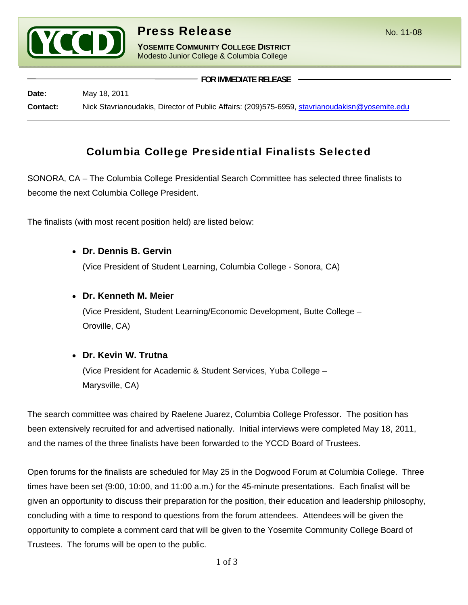

**YOSEMITE COMMUNITY COLLEGE DISTRICT** Modesto Junior College & Columbia College

 **FOR IMMEDIATE RELEASE Date:** May 18, 2011 **Contact:** Nick Stavrianoudakis, Director of Public Affairs: (209)575-6959, stavrianoudakisn@yosemite.edu

# Columbia College Presidential Finalists Selected

SONORA, CA – The Columbia College Presidential Search Committee has selected three finalists to become the next Columbia College President.

The finalists (with most recent position held) are listed below:

• **Dr. Dennis B. Gervin**

(Vice President of Student Learning, Columbia College - Sonora, CA)

# • **Dr. Kenneth M. Meier**

(Vice President, Student Learning/Economic Development, Butte College – Oroville, CA)

# • **Dr. Kevin W. Trutna**

(Vice President for Academic & Student Services, Yuba College – Marysville, CA)

The search committee was chaired by Raelene Juarez, Columbia College Professor. The position has been extensively recruited for and advertised nationally. Initial interviews were completed May 18, 2011, and the names of the three finalists have been forwarded to the YCCD Board of Trustees.

Open forums for the finalists are scheduled for May 25 in the Dogwood Forum at Columbia College. Three times have been set (9:00, 10:00, and 11:00 a.m.) for the 45-minute presentations. Each finalist will be given an opportunity to discuss their preparation for the position, their education and leadership philosophy, concluding with a time to respond to questions from the forum attendees. Attendees will be given the opportunity to complete a comment card that will be given to the Yosemite Community College Board of Trustees. The forums will be open to the public.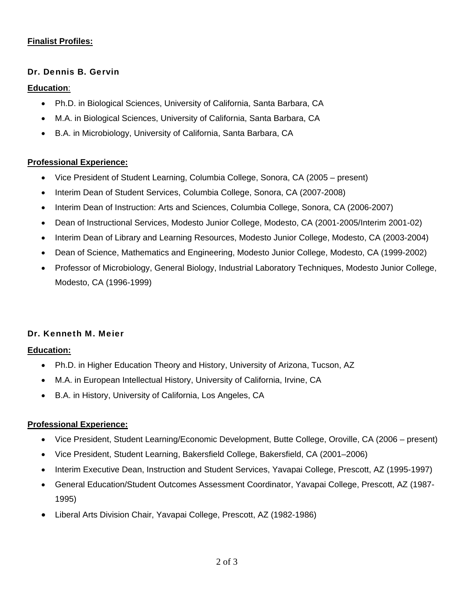## **Finalist Profiles:**

#### Dr. Dennis B. Gervin

#### **Education**:

- Ph.D. in Biological Sciences, University of California, Santa Barbara, CA
- M.A. in Biological Sciences, University of California, Santa Barbara, CA
- B.A. in Microbiology, University of California, Santa Barbara, CA

#### **Professional Experience:**

- Vice President of Student Learning, Columbia College, Sonora, CA (2005 present)
- Interim Dean of Student Services, Columbia College, Sonora, CA (2007-2008)
- Interim Dean of Instruction: Arts and Sciences, Columbia College, Sonora, CA (2006-2007)
- Dean of Instructional Services, Modesto Junior College, Modesto, CA (2001-2005/Interim 2001-02)
- Interim Dean of Library and Learning Resources, Modesto Junior College, Modesto, CA (2003-2004)
- Dean of Science, Mathematics and Engineering, Modesto Junior College, Modesto, CA (1999-2002)
- Professor of Microbiology, General Biology, Industrial Laboratory Techniques, Modesto Junior College, Modesto, CA (1996-1999)

## Dr. Kenneth M. Meier

#### **Education:**

- Ph.D. in Higher Education Theory and History, University of Arizona, Tucson, AZ
- M.A. in European Intellectual History, University of California, Irvine, CA
- B.A. in History, University of California, Los Angeles, CA

#### **Professional Experience:**

- Vice President, Student Learning/Economic Development, Butte College, Oroville, CA (2006 present)
- Vice President, Student Learning, Bakersfield College, Bakersfield, CA (2001–2006)
- Interim Executive Dean, Instruction and Student Services, Yavapai College, Prescott, AZ (1995-1997)
- General Education/Student Outcomes Assessment Coordinator, Yavapai College, Prescott, AZ (1987- 1995)
- Liberal Arts Division Chair, Yavapai College, Prescott, AZ (1982-1986)